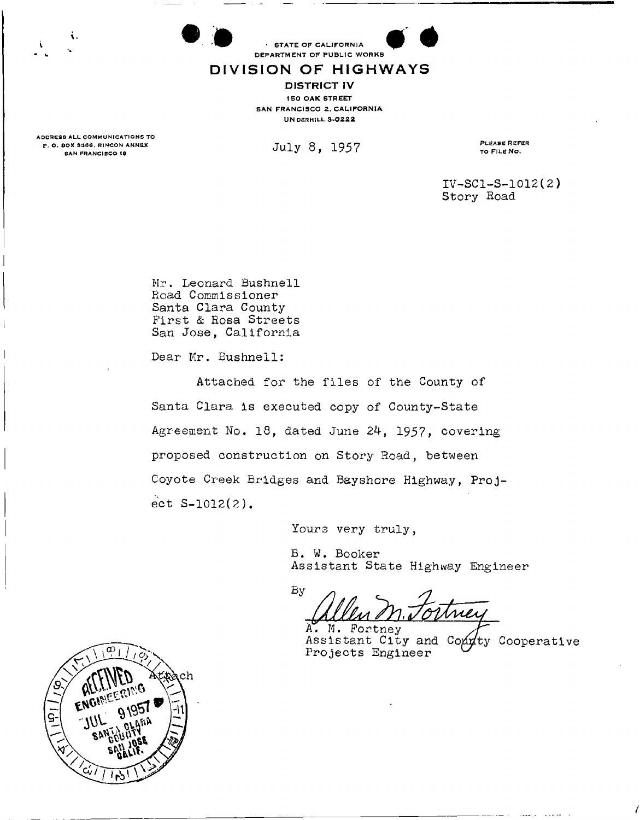

## **DIVISIO N O F HIGHWAY S**

**DISTRICT IV**  150 OAK STREET SAN FRANCISCO 2. CALIFORNIA **UNDERHILL 3-0222** 

ADDRESS ALL COMMUNICATIONS TO P. O. BOX 3366, RINCON ANNEX<br>SAN FRANCISCO 19

i.

 $July \, 8, \, 1957$  PLEASE REFER

TO FILE NO.

**IV-SC1-S-1012(2) Story Road** 

**Mr. Leonard Bushnell Road Commissioner Santa Clara County First & Rosa Streets San Jose, California** 

**Dear Mr. Bushnell:** 

**Attached for the files of the County of Santa Clara is executed copy of County-State Agreement No. 18, dated June 24, 1957, covering proposed construction on Story Road, between Coyote Creek Bridges and Bayshore Highway, Project S-1012(2).** 

**Yours very truly,** 

**B. W. Booker Assistant State Highway Engineer** 

 $\mathbf{By}$ 

A. M. Fortney Assistant City and Conney Cooperative Projects Engineer

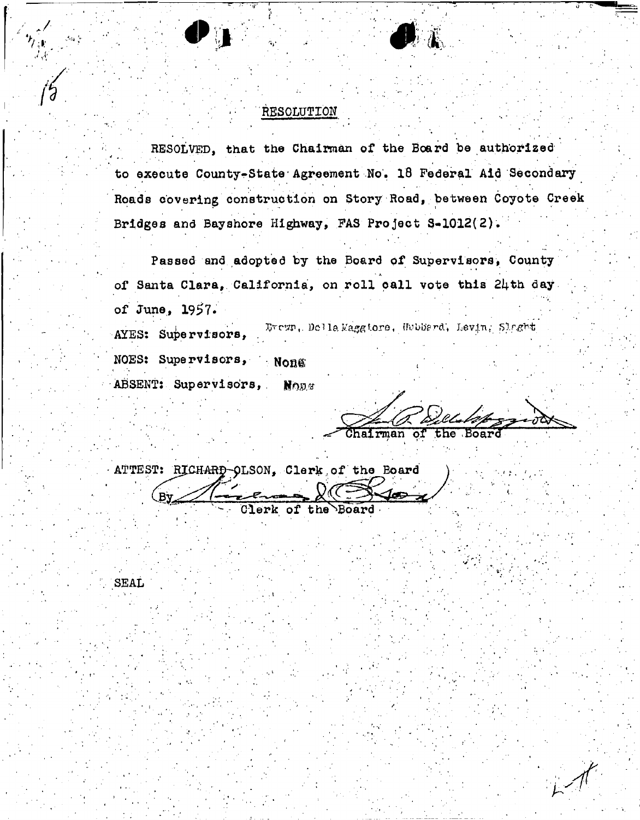## RESOLUTION

RESOLVED, that the Chairman of the Board be authorized to execute County-State-Agreement No, 18 Federal Aid Secondary Roads covering construction on Story Road, between Coyote Creek Bridges and Bayshore Highway, PAS Project 3-1012(2).

Passed and adopted by the Board of Supervisors, County - J. of Santa Clara, California, on roll call vote this 24th day of June, **1957.** 

AYES: Supervisors, Brezn, Della Maggiore, Hubbard, Levin, Slaght

NOES: Supervisors, Nong ABSENT: Supervisors, Mogs

 $\bullet$  1

Chairman of the Board

ATTEST: RICHARD-OLSON, Clerk of the Board By læ Clerk of the Board

SEAL

 $\cdot$   $\cdot$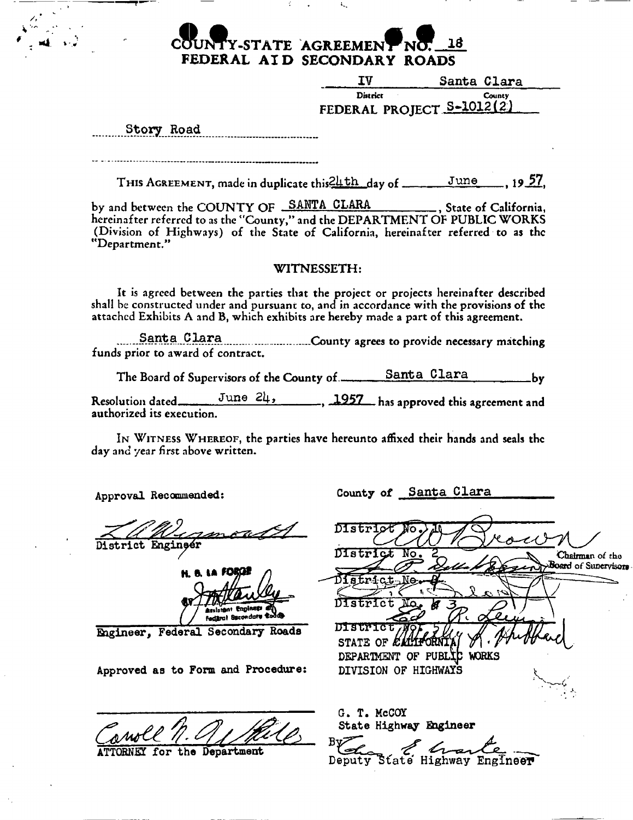# **Y-STATE AGREEMEN** IS **FEDERAL AI D SECONDARY ROADS**

| ΙV                        | Santa Clara   |
|---------------------------|---------------|
| District                  | <b>County</b> |
| FEDERAL PROJECT S-1012(2) |               |

Story Road

THIS AGREEMENT, made in duplicate this<sup>21</sup>/<sub>4</sub>th day of June 19 57.

by and between the COUNTY OF SANTA CLARA **for State of California**, **hereinafter referred to as the "County," and the DEPARTMENT OF PUBLIC WORKS (Division of Highways) of the State of California, hereinafter referred to as the "Department,"** 

## **WITNESSETH:**

**It is agreed between the parties that the project or projects hereinafter described shall be constructed under and pursuant to, ana in accordance with the provisions of the attached Exhibits A and B, which exhibits are hereby made a part of this agreement.** 

Santa \_Clara **...County agrees to provide necessary matching funds prior to award of contract.** 

The Board of Supervisors of the County of <u>Santa Clara</u> by

Resolution dated June 24, 1957 has approved this agreement and **authorized its execution.** 

IN WITNESS WHEREOF, the parties have hereunto affixed their hands and seals the **day and year first above written.** 

Approval Recommended;

strict Engineer

H. B. LA , Peni**nsti** Fedarul Becondary to

Engineer, Federal Secondary Roads

Approved as to Form and Procedure:

the Department

County of Santa Clara

DIstri District No. Chairman of the Board of Sunervisors Otfd of Supervisor\* District District jjiawiar STATE OF ELI DEPARTMENT OF PUBLIC WORKS DIVISION OF HIGHWAYS G. T. McCOT State Highway Engineer

Deputy State Highway Engineer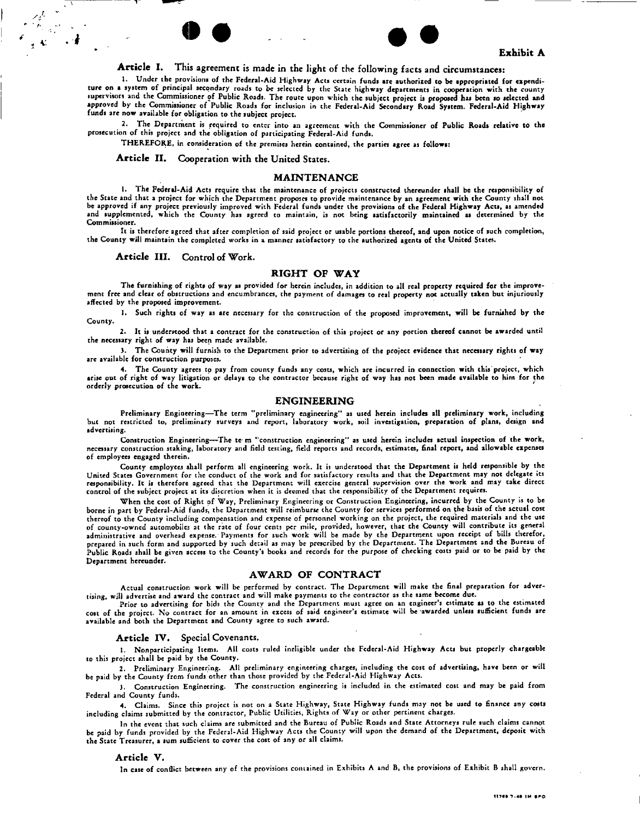## **Article I. This agreement is made in the light of the following facts and circumstances:**

**• • • •** 

1. Under the provisions of the Federal-Aid Highway Acts ccrtain fundi are authorized to be appropriated for expenditure on a system of principal secondary roads to be selected by the State highway departments in cooperation with the county supervisors and the Commissioner of Public Roads. The route upon which the subject project is proposed has been so selected and approved by the Commissioner of Public Roads for inclusion in the Federal-Aid Secondary Road System. Federal-Aid Highway funds are now available for obligation to the subject project.

2. The Department is required to enter into an agreement with the Commissioner of Public Roads relative to the prosecution of this project and the obligation of participating Federal-Aid funds.

THEREFORE, in consideration of the premises herein contained, the parties agree as follows:

**Article II. Cooperation with the United States.** 

#### **MAINTENANCE**

1. The Federal-Aid Acts require that the maintenance of projects constructed thereunder shall be the responsibility of the State and that a project for which the Department proposes to provide maintenance by an agreement with the County shall not be approved if any project previously improved with Federal funds under the provisions of the Federal Highway Acts, as amended and supplemented, which the County has agreed to maintain, is not being satisfactorily maintained as determined by the Commissioner.

It is therefore agreed that after completion of said project or usable portions thereof, and upon notice of such completion, the County will maintain the completed works in a manner satisfactory to the authorized agents of the United States.

**Article III. Control of Work.** 

 $\mathscr{A}$ 

#### **RIGHT OF WAY**

The furnishing of rights of way as provided for herein includes, in addition to all real property required for the improvement free and clear of obstructions and encumbranccs, the payment of damages to real property not actually taken but injuriously affected by the proposed improvement.

1. Such rights of way as are necessary for the construction of the proposed improvement, will be furnished by the County.

2. It is understood that a contract for the construction of this project or any portion thereof cannot be awarded until the necessary right of way has been made available.

3. The County will furnish to the Department prior to advertising of the project evidence that necessary rights of way are available for construction purposes.

The County agrees to pay from county funds any costs, which are incurred in connection with this project, which arise out of right of way litigation or delays to the contractor because right of way has not been made available to him for the orderly prosecution of the work.

#### **ENGINEERING**

Preliminary Engineering—The term "preliminary engineering" as used herein includes all preliminary work, including<br>but not restricted to, preliminary surveys and report, laboratory work, soil investigation, preparation of advertising.

Construction Engineering—The te m "construction engineering" as used herein includes actual inspection of the work, necessary construction staking, laboratory and field testing, field reports and rccords, estimates, final report, and allowable expenses of employees engaged therein.

County employees shall perform all engineering work. It is understood that the Department is held responsible by the United States Government for the conduct of the work and for satisfactory results and that the Department may not delegate its responsibility. It is therefore agreed that the Department will cxercise general supervision over the work and may take direct control of the subject project at its discretion when it is deemed that the responsibility of the Department requires.

When the cost of Right of Way, Preliminary Engineering or Construction Engineering, incurred by the County is to be borne in part by Federal-Aid funds, the Department will reimburse the County for services performed on the basis of the actual cost thereof to the County including compensation and expense of personnel working on the project, the required materials and the use of county-owned automobiles at the rate of four cents per mile, provided, however, that the County will contribute its general administrative and overhead expense. Payments for such work will be made by the Department upon receipt of bills therefor, prepared in such form and supported by such detail as may be prescribed by the Department. The Department and the Bureau of Public Roads shall be given access to the County's books and records for the purpose of checking costs paid or to be paid by the Department hereunder.

#### **AWARD OF CONTRACT**

Actual construction work will be performed by contract. The Department will make the final preparation for advertising, will advertise and award the contract and will make payments to the contractor as the same become due.

Prior to advertising for bids the County and the Department must agree on an engineer's estimate as to the estimated cost of the project. No contract for an amount in exccss of said engineer's estimate will be awarded unless sufficient funds are available and both the Department and County agree to such award.

#### **Article IV.** Special **Covenants.**

1. Nonparticipating Items. All costs ruled ineligible under the Federal-Aid Highway Acts but properly chargeable to this project shall be paid by the County.

2. Preliminary Engineering. All preliminary engineering charges, including the cost of advertising, have been or will be paid by the County from funds other than those provided by the Federal-Aid Highway Acts.

3. Construction Engineering. The construction engineering is included in the estimated cost and may be paid from Federal and County funds.

4. Claims. Since this project is not on a State Highway, State Highway funds may not be used to finance any coats including claims submitted by the contractor, Public Utilities, Rights of Way or other pertinent charges.

In the event that such claims are submitted and the Bureau of Public Roads and State Attorneys rule such claims cannot be paid by funds provided by the Federal-Aid Highway Acts the County will upon the demand of the Department, deposit with the State Treasurer, a sum sufficient to cover the cost of any or all claims.

#### **Article V.**

In case of conflict between any of the provisions contained in Exhibits A and B, the provisions of Exhibit B shall govern.

**Exhibit A**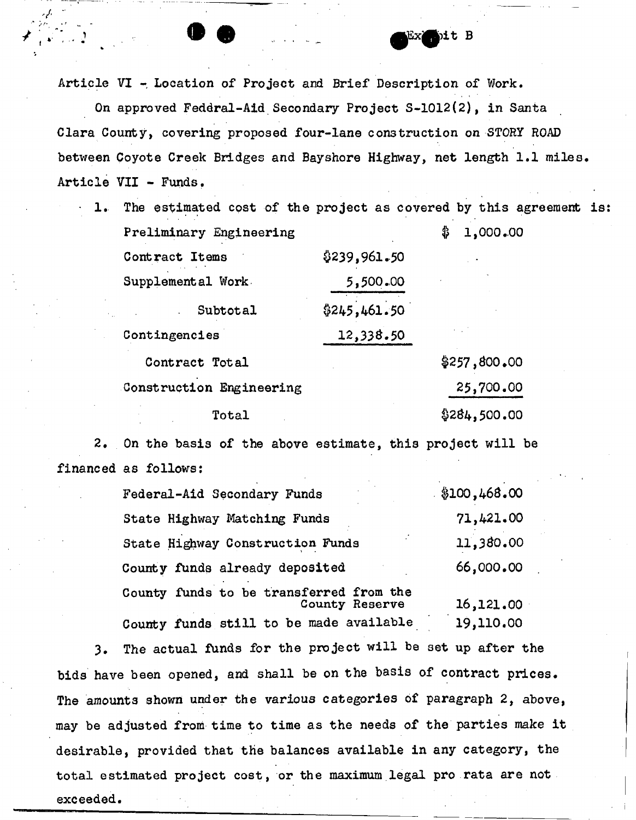Article VI - Location of Project and Brief Description of Work.

 $\mathcal{L} = \mathcal{L} \mathcal{L} \mathcal{L}$ 

- •

On approved Feddral-Aid Secondary Project S-1012(2), in Santa Clara County, covering proposed four-lane construction on STORY ROAD between Coyote Creek Bridges and Bayshore Highway, net length 1.1 miles. Article VII - Funds.

1. The estimated cost of the project as covered by this agreement is: Preliminary Engineering  $\qquad \qquad \qquad$  1,000.00 Contract Items  $$239,961.50$ Supplemental Work 5,500.00 Subtotal \$245,461.50 Contingencies 12,338.50  $\text{Contract Total}$   $\text{\$257,800.00}$ Construction Engineering 25,700.00

 $\text{Total}$   $\qquad \qquad \text{\$284,500.00}$ 

2. On the basis of the above estimate, this project will be financed as follows:

| Federal-Aid Secondary Funds                               | \$100,468.00 |
|-----------------------------------------------------------|--------------|
| State Highway Matching Funds                              | 71,421.00    |
| State Highway Construction Funds                          | 11,380.00    |
| County funds already deposited                            | 66,000.00    |
| County funds to be transferred from the<br>County Reserve | 16,121.00    |
| County funds still to be made available                   | 19,110.00    |

3. The actual funds for the project will be set up after the bids have been opened, and shall be on the basis of contract prices. The amounts shown under the various categories of paragraph 2, above, may be adjusted from time to time as the needs of the parties make it desirable, provided that the balances available in any category, the total estimated project cost, or the maximum legal pro rata are not exceeded.